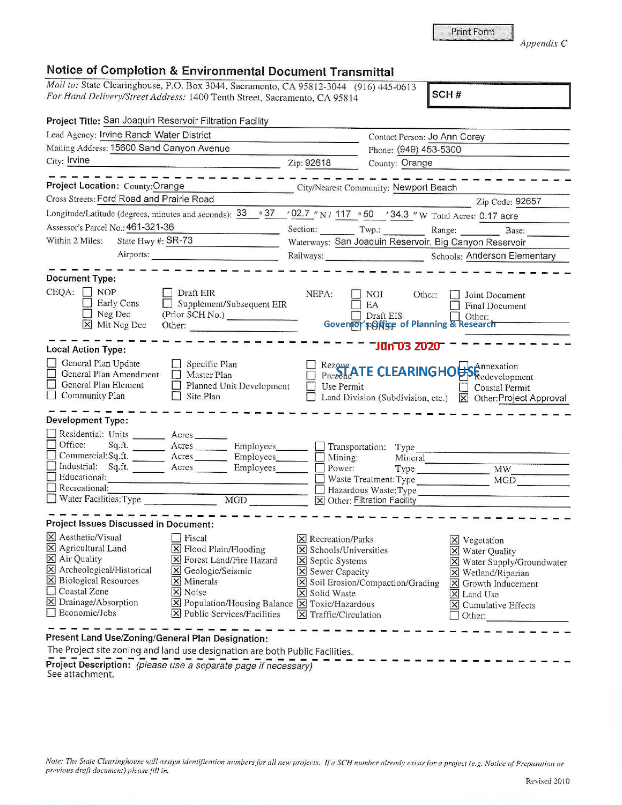|  |  | Print Form |
|--|--|------------|
|  |  |            |

*Appendix* C

## **Notice of Completion & Environmental Document Transmittal**

*Mail to: State Clearinghouse, P.O. Box 3044, Sacramento, CA 95812-3044 (916) 445-0613 For Hand Delivery/Street Address:* 1400 Tenth Street, Sacramento, CA 95814 **SCH #** 

| Project Title: San Joaquin Reservoir Filtration Facility                                                                                                                                                                                                                                                       |                                                                                                             |                                                                                                                                                                        |                                                                                               |                                                                                                                                                                                                                                      |  |
|----------------------------------------------------------------------------------------------------------------------------------------------------------------------------------------------------------------------------------------------------------------------------------------------------------------|-------------------------------------------------------------------------------------------------------------|------------------------------------------------------------------------------------------------------------------------------------------------------------------------|-----------------------------------------------------------------------------------------------|--------------------------------------------------------------------------------------------------------------------------------------------------------------------------------------------------------------------------------------|--|
| Lead Agency: Irvine Ranch Water District                                                                                                                                                                                                                                                                       |                                                                                                             |                                                                                                                                                                        | Contact Person: Jo Ann Corey                                                                  |                                                                                                                                                                                                                                      |  |
| Mailing Address: 15600 Sand Canyon Avenue                                                                                                                                                                                                                                                                      |                                                                                                             |                                                                                                                                                                        |                                                                                               | Phone: (949) 453-5300                                                                                                                                                                                                                |  |
| City: Irvine                                                                                                                                                                                                                                                                                                   |                                                                                                             | Zip: 92618<br>County: Orange                                                                                                                                           |                                                                                               |                                                                                                                                                                                                                                      |  |
| Project Location: County: Orange<br>Cross Streets: Ford Road and Prairie Road                                                                                                                                                                                                                                  |                                                                                                             |                                                                                                                                                                        | City/Nearest Community: Newport Beach                                                         | Zip Code: 92657                                                                                                                                                                                                                      |  |
| Longitude/Latitude (degrees, minutes and seconds): $33 \cdot 37$                                                                                                                                                                                                                                               |                                                                                                             |                                                                                                                                                                        | '02.7 "N / 117 .50 '34.3 "W Total Acres: 0.17 acre                                            |                                                                                                                                                                                                                                      |  |
| Assessor's Parcel No.: 461-321-36                                                                                                                                                                                                                                                                              |                                                                                                             |                                                                                                                                                                        |                                                                                               | Section: Twp.: Range: Base:                                                                                                                                                                                                          |  |
| State Hwy #: SR-73<br>Within 2 Miles:                                                                                                                                                                                                                                                                          |                                                                                                             |                                                                                                                                                                        | Waterways: San Joaquin Reservoir, Big Canyon Reservoir                                        |                                                                                                                                                                                                                                      |  |
| Airports:                                                                                                                                                                                                                                                                                                      |                                                                                                             |                                                                                                                                                                        |                                                                                               | Railways: Schools: Anderson Elementary                                                                                                                                                                                               |  |
|                                                                                                                                                                                                                                                                                                                |                                                                                                             |                                                                                                                                                                        |                                                                                               |                                                                                                                                                                                                                                      |  |
| <b>Document Type:</b><br>$CEQA: \Box NP$                                                                                                                                                                                                                                                                       |                                                                                                             |                                                                                                                                                                        |                                                                                               |                                                                                                                                                                                                                                      |  |
| Draft EIR<br>Early Cons                                                                                                                                                                                                                                                                                        | Supplement/Subsequent EIR                                                                                   | NEPA:                                                                                                                                                                  | NOI<br>Other:<br>EA                                                                           | Joint Document<br><b>Final Document</b>                                                                                                                                                                                              |  |
| $\Box$ Neg Dec                                                                                                                                                                                                                                                                                                 | (Prior SCH No.)                                                                                             |                                                                                                                                                                        | Draft EIS                                                                                     | Other:                                                                                                                                                                                                                               |  |
| X Mit Neg Dec<br>Other:                                                                                                                                                                                                                                                                                        |                                                                                                             |                                                                                                                                                                        | Governor's Office of Planning & Research                                                      |                                                                                                                                                                                                                                      |  |
| <b>Local Action Type:</b>                                                                                                                                                                                                                                                                                      |                                                                                                             |                                                                                                                                                                        | <b>Jūn 03 2020</b>                                                                            |                                                                                                                                                                                                                                      |  |
| General Plan Update<br>Specific Plan<br>General Plan Amendment<br>Master Plan<br>General Plan Element<br>Community Plan<br>$\Box$ Site Plan                                                                                                                                                                    | Planned Unit Development                                                                                    | Use Permit                                                                                                                                                             | Land Division (Subdivision, etc.)                                                             | Rezone ATE CLEARINGHOBS Redevelopment<br><b>Coastal Permit</b><br><b>X</b> Other: Project Approval                                                                                                                                   |  |
| <b>Development Type:</b>                                                                                                                                                                                                                                                                                       |                                                                                                             |                                                                                                                                                                        |                                                                                               |                                                                                                                                                                                                                                      |  |
| Residential: Units ________ Acres _______<br>Office:<br>Sq.ft. ________ Acres _________ Employees _______ _ Transportation: Type<br>Commercial:Sq.ft. ________ Acres ________ Employees<br>Industrial: Sq.ft. Acres Employees<br>Educational:<br>Recreational:                                                 | MGD                                                                                                         | Mining:<br>$\Box$ Power:                                                                                                                                               | Mineral<br>Waste Treatment: Type MGD<br>Hazardous Waste: Type<br>X Other: Filtration Facility | Type MW                                                                                                                                                                                                                              |  |
| Project Issues Discussed in Document:                                                                                                                                                                                                                                                                          |                                                                                                             |                                                                                                                                                                        |                                                                                               |                                                                                                                                                                                                                                      |  |
| X Aesthetic/Visual<br>Fiscal<br>$\boxtimes$ Agricultural Land<br>X Flood Plain/Flooding<br>X Air Quality<br>X Archeological/Historical<br>X Geologic/Seismic<br>$\boxtimes$ Biological Resources<br>$\times$ Minerals<br>Coastal Zone<br>$ \mathsf{X} $ Noise<br>$\Sigma$ Drainage/Absorption<br>Economic/Jobs | X Forest Land/Fire Hazard<br>X Population/Housing Balance X Toxic/Hazardous<br>X Public Services/Facilities | $\boxtimes$ Recreation/Parks<br>$\vert \mathsf{x} \vert$ Schools/Universities<br>X Septic Systems<br><b>X</b> Sewer Capacity<br>X Solid Waste<br>X Traffic/Circulation | X Soil Erosion/Compaction/Grading                                                             | $\times$ Vegetation<br>X Water Quality<br>X Water Supply/Groundwater<br>X Wetland/Riparian<br>$\boxed{\mathsf{X}}$ Growth Inducement<br>$\overline{\mathsf{x}}$ Land Use<br>$\boxed{\mathsf{x}}$ Cumulative Effects<br>$\Box$ Other: |  |
| Present Land Hse/Zoning/General Plan Decignati                                                                                                                                                                                                                                                                 |                                                                                                             |                                                                                                                                                                        |                                                                                               |                                                                                                                                                                                                                                      |  |

**Present Land Use/Zoning/General Plan Designation:** 

The Project site zoning and land use designation are both Public Facilities. **Project Description:** *(please use a separate page if necessary)*<br>See attachment.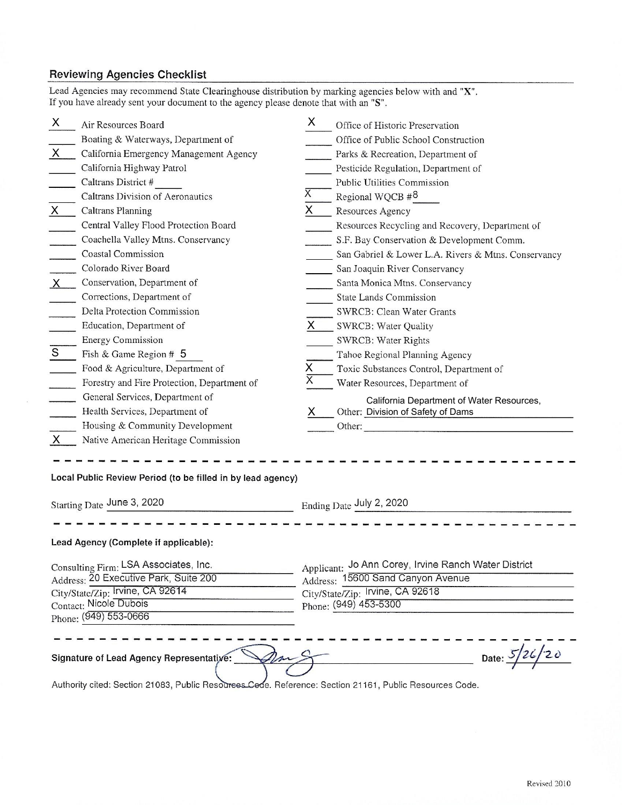## Reviewing Agencies Checklist

 $\overline{E}$ 

| Air Resources Board                                                                                                                                                                                            | X                       | Office of Historic Preservation                                                           |
|----------------------------------------------------------------------------------------------------------------------------------------------------------------------------------------------------------------|-------------------------|-------------------------------------------------------------------------------------------|
| Boating & Waterways, Department of                                                                                                                                                                             |                         | Office of Public School Construction                                                      |
| $\overline{X}$<br>California Emergency Management Agency                                                                                                                                                       |                         | Parks & Recreation, Department of                                                         |
| California Highway Patrol                                                                                                                                                                                      |                         | Pesticide Regulation, Department of                                                       |
| Caltrans District #                                                                                                                                                                                            |                         | Public Utilities Commission                                                               |
| Caltrans Division of Aeronautics                                                                                                                                                                               | Χ                       | Regional WQCB #8                                                                          |
| Caltrans Planning<br>$\sf X$                                                                                                                                                                                   | X.                      | Resources Agency                                                                          |
| Central Valley Flood Protection Board                                                                                                                                                                          |                         | Resources Recycling and Recovery, Department of                                           |
| Coachella Valley Mtns. Conservancy                                                                                                                                                                             |                         | S.F. Bay Conservation & Development Comm.                                                 |
| <b>Coastal Commission</b>                                                                                                                                                                                      |                         | San Gabriel & Lower L.A. Rivers & Mtns. Conservancy                                       |
| Colorado River Board                                                                                                                                                                                           |                         | San Joaquin River Conservancy                                                             |
| Conservation, Department of<br>$\mathsf{X}\,$                                                                                                                                                                  |                         | Santa Monica Mtns. Conservancy                                                            |
| Corrections, Department of                                                                                                                                                                                     |                         | <b>State Lands Commission</b>                                                             |
| Delta Protection Commission                                                                                                                                                                                    |                         | SWRCB: Clean Water Grants                                                                 |
| Education, Department of                                                                                                                                                                                       | $x -$                   | SWRCB: Water Quality                                                                      |
| <b>Energy Commission</b>                                                                                                                                                                                       |                         | SWRCB: Water Rights                                                                       |
| Fish & Game Region # 5                                                                                                                                                                                         |                         | Tahoe Regional Planning Agency                                                            |
| Food & Agriculture, Department of                                                                                                                                                                              | X                       | Toxic Substances Control, Department of                                                   |
| Forestry and Fire Protection, Department of                                                                                                                                                                    | $\overline{\mathsf{x}}$ | Water Resources, Department of                                                            |
| General Services, Department of                                                                                                                                                                                |                         |                                                                                           |
| Health Services, Department of                                                                                                                                                                                 | х                       | California Department of Water Resources,<br>Other: Division of Safety of Dams            |
| Housing & Community Development                                                                                                                                                                                |                         | Other:                                                                                    |
| $\mathsf{X}$<br>Native American Heritage Commission                                                                                                                                                            |                         |                                                                                           |
| Local Public Review Period (to be filled in by lead agency)<br>Starting Date June 3, 2020                                                                                                                      |                         | Ending Date July 2, 2020                                                                  |
|                                                                                                                                                                                                                |                         |                                                                                           |
|                                                                                                                                                                                                                |                         |                                                                                           |
|                                                                                                                                                                                                                |                         |                                                                                           |
|                                                                                                                                                                                                                |                         |                                                                                           |
|                                                                                                                                                                                                                |                         | Applicant: Jo Ann Corey, Irvine Ranch Water District<br>Address: 15600 Sand Canyon Avenue |
|                                                                                                                                                                                                                |                         |                                                                                           |
|                                                                                                                                                                                                                |                         | City/State/Zip: Irvine, CA 92618<br>Phone: (949) 453-5300                                 |
|                                                                                                                                                                                                                |                         |                                                                                           |
| Lead Agency (Complete if applicable):<br>Consulting Firm: LSA Associates, Inc.<br>Address: 20 Executive Park, Suite 200<br>City/State/Zip: Irvine, CA 92614<br>Contact: Nicole Dubois<br>Phone: (949) 553-0666 |                         |                                                                                           |
| Signature of Lead Agency Representative:                                                                                                                                                                       |                         | Date: $5/26/20$                                                                           |

Lead Agencies may recommend State Clearinghouse distribution by marking agencies below with and "X".